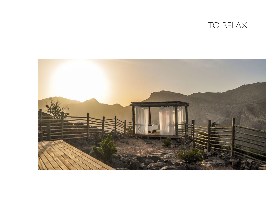

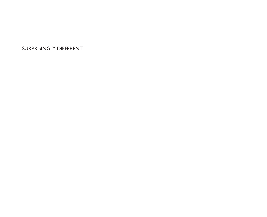SURPRISINGLY DIFFERENT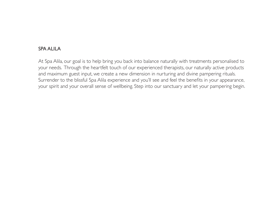## SPA ALILA

At Spa Alila, our goal is to help bring you back into balance naturally with treatments personalised to your needs. Through the heartfelt touch of our experienced therapists, our naturally active products and maximum guest input, we create a new dimension in nurturing and divine pampering rituals. Surrender to the blissful Spa Alila experience and you'll see and feel the benefits in your appearance, your spirit and your overall sense of wellbeing. Step into our sanctuary and let your pampering begin.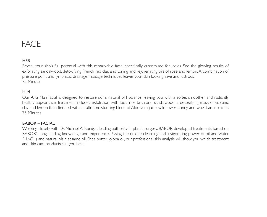# FACE

### **HER**

Reveal your skin's full potential with this remarkable facial specifically customised for ladies. See the glowing results of exfoliating sandalwood, detoxifying French red clay, and toning and rejuvenating oils of rose and lemon. A combination of pressure point and lymphatic drainage massage techniques leaves your skin looking alive and lustrous! 75 Minutes

#### **HIM**

Our Alila Man facial is designed to restore skin's natural pH balance, leaving you with a softer, smoother and radiantly healthy appearance. Treatment includes exfoliation with local rice bran and sandalwood, a detoxifying mask of volcanic clay and lemon then finished with an ultra moisturising blend of Aloe vera juice, wildflower honey and wheat amino acids. 75 Minutes

#### BABOR – FACIAL

Working closely with Dr. Michael A. Konig, a leading authority in plastic surgery, BABOR developed treatments based on BABOR's longstanding knowledge and experience. Using the unique cleansing and invigorating power of oil and water (HY-OL) and natural plain sesame oil, Shea butter, jojoba oil, our professional skin analysis will show you which treatment and skin care products suit you best.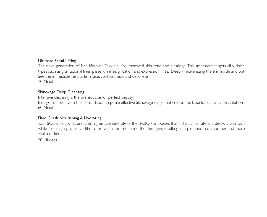#### Ultimate Facial Lifting

The next–generation of face lifts with Telovitin- for improved skin tone and elasticity. This treatment targets all wrinkle types such as gravitational lines, plisse wrinkles, glycation and expression lines. Deeply rejuvenating the skin inside and out. See the immediate results; firm face, contour, neck and décolleté. 90 Minutes

#### Skinovage Deep Cleansing

Intensive cleansing is the prerequisite for perfect beauty!

Indulge your skin with the iconic Babor ampoule effective Skinovage range that creates the base for radiantly beautiful skin. 60 Minutes

#### Fluid Crash Nourishing & Hydrating

Your SOS kit, enjoy nature at its highest concentrate of the BABOR ampoules that instantly hydrate and detoxify your skin while forming a protective film to prevent moisture inside the skin layer, resulting in a plumped up, smoother and more vitalised skin.

30 Minutes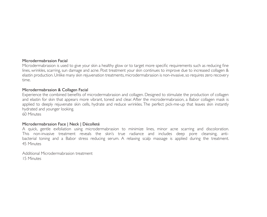#### Microdermabrasion Facial

Microdermabrasion is used to give your skin a healthy glow or to target more specific requirements such as reducing fine lines, wrinkles, scarring, sun damage and acne. Post treatment your skin continues to improve due to increased collagen & elastin production. Unlike many skin rejuvenation treatments, microdermabrasion is non-invasive, so requires zero recovery time.

#### Microdermabrasion & Collagen Facial

Experience the combined benefits of microdermabrasion and collagen. Designed to stimulate the production of collagen and elastin for skin that appears more vibrant, toned and clear. After the microdermabrasion, a Babor collagen mask is applied to deeply rejuvenate skin cells, hydrate and reduce wrinkles. The perfect pick-me-up that leaves skin instantly hydrated and younger looking.

60 Minutes

#### Microdermabrasion Face | Neck | Décolleté

A quick, gentle exfoliation using microdermabrasion to minimize lines, minor acne scarring and discoloration. This non-invasive treatment reveals the skin's true radiance and includes deep pore cleansing, antibacterial toning and a Babor stress reducing serum. A relaxing scalp massage is applied during the treatment. 45 Minutes

Additional Microdermabrasion treatment 15 Minutes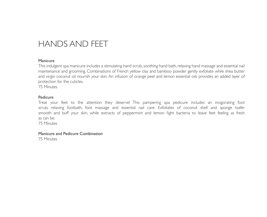# HANDS AND FEET

#### Manicure

This indulgent spa manicure includes a stimulating hand scrub, soothing hand bath, relaxing hand massage and essential nail maintenance and grooming. Combinations of French yellow clay and bamboo powder gently exfoliate while shea butter and virgin coconut oil nourish your skin. An infusion of orange peel and lemon essential oils provides an added layer of protection for the cuticles.

75 Minutes

#### Pedicure

Treat your feet to the attention they deserve! This pampering spa pedicure includes an invigorating foot scrub, relaxing footbath, foot massage and essential nail care. Exfoliates of coconut shell and sponge loafer smooth and buff your skin, while extracts of peppermint and lemon fight bacteria to leave feet feeling as fresh as can be.

75 Minutes

Manicure and Pedicure Combination

75 Minutes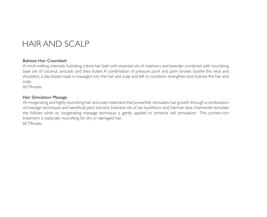# HAIR AND SCALP

#### Balinese Hair Creambath

A mind-melting, intensely hydrating crème hair bath with essential oils of rosemary and lavender combined with nourishing base oils of coconut, avocado and shea butter. A combination of pressure point and palm strokes soothe the neck and shoulders, a clay-based mask is massaged into the hair and scalp and left to condition, strengthen and hydrate the hair and scalp.

60 Minutes

#### Hair Stimulation Massage

An invigorating and highly nourishing hair and scalp treatment that powerfully stimulates hair growth through a combination of massage techniques and beneficial plant extracts. Essential oils of sea buckthorn and German blue chamomile stimulate the follicles while an oxygenating massage technique is gently applied to enhance cell stimulation. This protein-rich treatment is especially nourishing for dry or damaged hair. 60 Minutes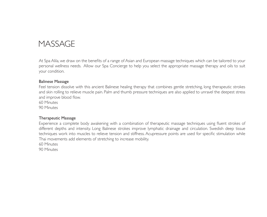# **MASSAGE**

At Spa Alila, we draw on the benefits of a range of Asian and European massage techniques which can be tailored to your personal wellness needs. Allow our Spa Concierge to help you select the appropriate massage therapy and oils to suit your condition.

#### Balinese Massage

Feel tension dissolve with this ancient Balinese healing therapy that combines gentle stretching, long therapeutic strokes and skin rolling to relieve muscle pain. Palm and thumb pressure techniques are also applied to unravel the deepest stress and improve blood flow.

60 Minutes

90 Minutes

#### Therapeutic Massage

Experience a complete body awakening with a combination of therapeutic massage techniques using fluent strokes of different depths and intensity. Long Balinese strokes improve lymphatic drainage and circulation. Swedish deep tissue techniques work into muscles to relieve tension and stiffness. Acupressure points are used for specific stimulation while Thai movements add elements of stretching to increase mobility.

60 Minutes

90 Minutes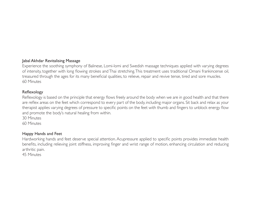#### Jabal Akhdar Revitalising Massage

Experience the soothing symphony of Balinese, Lomi-lomi and Swedish massage techniques applied with varying degrees of intensity, together with long flowing strokes and Thai stretching. This treatment uses traditional Omani frankincense oil, treasured through the ages for its many beneficial qualities, to relieve, repair and revive tense, tired and sore muscles. 60 Minutes

#### Reflexology

Reflexology is based on the principle that energy flows freely around the body when we are in good health and that there are reflex areas on the feet which correspond to every part of the body, including major organs. Sit back and relax as your therapist applies varying degrees of pressure to specific points on the feet with thumb and fingers to unblock energy flow and promote the body's natural healing from within.

30 Minutes

60 Minutes

#### Happy Hands and Feet

Hardworking hands and feet deserve special attention. Acupressure applied to specific points provides immediate health benefits, including relieving joint stiffness, improving finger and wrist range of motion, enhancing circulation and reducing arthritic pain.

45 Minutes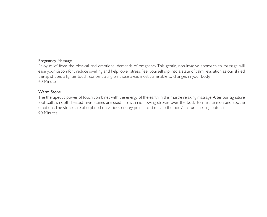#### Pregnancy Massage

Enjoy relief from the physical and emotional demands of pregnancy. This gentle, non-invasive approach to massage will ease your discomfort, reduce swelling and help lower stress. Feel yourself slip into a state of calm relaxation as our skilled therapist uses a lighter touch, concentrating on those areas most vulnerable to changes in your body. 60 Minutes

#### Warm Stone

The therapeutic power of touch combines with the energy of the earth in this muscle relaxing massage. After our signature foot bath, smooth, heated river stones are used in rhythmic flowing strokes over the body to melt tension and soothe emotions. The stones are also placed on various energy points to stimulate the body's natural healing potential. 90 Minutes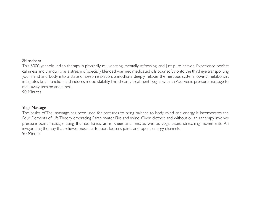#### Shirodhara

This 5000-year-old Indian therapy is physically rejuvenating, mentally refreshing, and just pure heaven. Experience perfect calmness and tranquility as a stream of specially blended, warmed medicated oils pour softly onto the third eye transporting your mind and body into a state of deep relaxation. Shirodhara deeply relaxes the nervous system, lowers metabolism, integrates brain function and induces mood stability. This dreamy treatment begins with an Ayurvedic pressure massage to melt away tension and stress.

90 Minutes

#### Yoga Massage

The basics of Thai massage has been used for centuries to bring balance to body, mind and energy. It incorporates the Four Elements of Life Theory embracing Earth, Water, Fire and Wind. Given clothed and without oil, this therapy involves pressure point massage using thumbs, hands, arms, knees and feet, as well as yoga based stretching movements. An invigorating therapy that relieves muscular tension, loosens joints and opens energy channels. 90 Minutes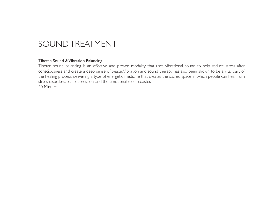# SOUND TREATMENT

#### Tibetan Sound & Vibration Balancing

Tibetan sound balancing is an effective and proven modality that uses vibrational sound to help reduce stress after consciousness and create a deep sense of peace. Vibration and sound therapy has also been shown to be a vital part of the healing process, delivering a type of energetic medicine that creates the sacred space in which people can heal from stress disorders, pain, depression, and the emotional roller coaster. 60 Minutes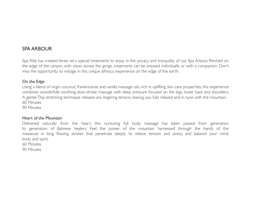## SPA ARBOUR

Spa Alila has created three very special treatments to enjoy in the privacy and tranquility of our Spa Arbour. Perched on the edge of the canyon, with views across the gorge, treatments can be enjoyed individually or with a companion. Don't miss the opportunity to indulge in this unique alfresco experience on the edge of the earth.

#### On the Edge

Using a blend of virgin coconut, frankincense and vanilla massage oils, rich in uplifting skin care properties, this experience combines wonderfully soothing slow-stroke massage with deep pressure focused on the legs, lower back and shoulders. A gentle Thai stretching technique releases any lingering tension, leaving you fully relaxed and in tune with the mountain. 60 Minutes

90 Minutes

#### Heart of the Mountain

Delivered naturally from the heart, this nurturing full body massage has been passed from generation to generation of Balinese healers. Feel the power of the mountain harnessed through the hands of the masseuse in long flowing strokes that penetrate deeply to relieve tension and stress, and balance your mind, body and spirit.

60 Minutes

90 Minutes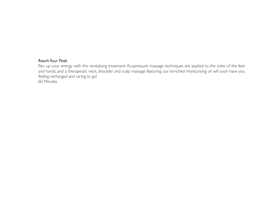#### Reach Your Peak

Rev up your energy with this revitalising treatment. Acupressure massage techniques are applied to the soles of the feet and hands, and a therapeutic neck, shoulder and scalp massage featuring our enriched moisturising oil will soon have you feeling recharged and raring to go!

60 Minutes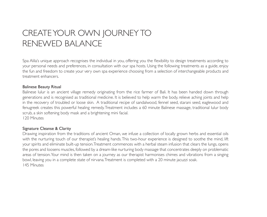# CREATE YOUR OWN JOURNEY TO RENEWED BALANCE

Spa Alila's unique approach recognises the individual in you, offering you the flexibility to design treatments according to your personal needs and preferences, in consultation with our spa hosts. Using the following treatments as a guide, enjoy the fun and freedom to create your very own spa experience choosing from a selection of interchangeable products and treatment enhancers.

#### Balinese Beauty Ritual

Balinese lulur is an ancient village remedy originating from the rice farmer of Bali. It has been handed down through generations and is recognised as traditional medicine. It is believed to help warm the body, relieve aching joints and help in the recovery of troubled or loose skin. A traditional recipe of sandalwood, fennel seed, starani seed, eaglewood and fenugreek creates this powerful healing remedy. Treatment includes a 60 minute Balinese massage, traditional lulur body scrub, a skin softening body mask and a brightening mini facial. 120 Minutes

#### Signature Cleanse & Clarity

Drawing inspiration from the traditions of ancient Oman, we infuse a collection of locally grown herbs and essential oils with the nurturing touch of our therapist's healing hands. This two-hour experience is designed to soothe the mind, lift your spirits and eliminate built-up tension. Treatment commences with a herbal steam infusion that clears the lungs, opens the pores and loosens muscles, followed by a dream-like nurturing body massage that concentrates deeply on problematic areas of tension. Your mind is then taken on a journey as our therapist harmonises chimes and vibrations from a singing bowl, leaving you in a complete state of nirvana. Treatment is completed with a 20 minute jacuzzi soak. 145 Minutes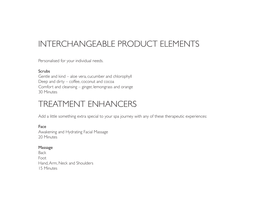# INTERCHANGEABLE PRODUCT ELEMENTS

Personalised for your individual needs.

#### **Scrubs**

Gentle and kind – aloe vera, cucumber and chlorophyll Deep and dirty – coffee, coconut and cocoa Comfort and cleansing – ginger, lemongrass and orange 30 Minutes

# TREATMENT ENHANCERS

Add a little something extra special to your spa journey with any of these therapeutic experiences:

Face Awakening and Hydrating Facial Massage 20 Minutes

#### Massage

Back Foot Hand, Arm, Neck and Shoulders 15 Minutes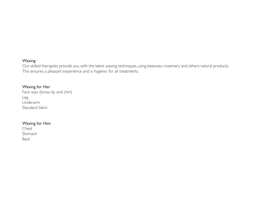#### Waxing

Our skilled therapists provide you with the latest waxing techniques, using beeswax, rosemary and others natural products. This ensures a pleasant experience and is hygienic for all treatments.

#### Waxing for Her

Face wax (brow, lip and chin) Leg Underarm Standard bikini

#### Waxing for Him

Chest Stomach Back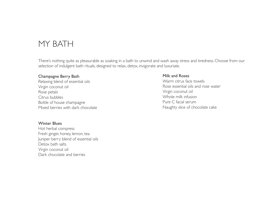# MY BATH

There's nothing quite as pleasurable as soaking in a bath to unwind and wash away stress and tiredness. Choose from our selection of indulgent bath rituals, designed to relax, detox, invigorate and luxuriate.

#### Champagne Berry Bath

Relaxing blend of essential oils Virgin coconut oil Rose petals Citrus bubbles Bottle of house champagne Mixed berries with dark chocolate

#### Winter Blues

Hot herbal compress Fresh ginger, honey, lemon, tea Juniper berry blend of essential oils Detox bath salts Virgin coconut oil Dark chocolate and berries

#### Milk and Roses

Warm citrus face towels Rose essential oils and rose water Virgin coconut oil Whole milk infusion Pure C facial serum Naughty slice of chocolate cake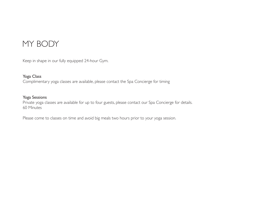# MY BODY

Keep in shape in our fully equipped 24-hour Gym.

#### Yoga Class

Complimentary yoga classes are available, please contact the Spa Concierge for timing

#### Yoga Sessions

Private yoga classes are available for up to four guests, please contact our Spa Concierge for details. 60 Minutes

Please come to classes on time and avoid big meals two hours prior to your yoga session.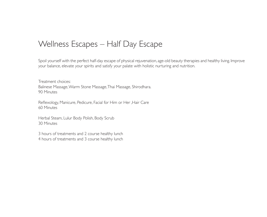# Wellness Escapes – Half Day Escape

Spoil yourself with the perfect half-day escape of physical rejuvenation, age-old beauty therapies and healthy living. Improve your balance, elevate your spirits and satisfy your palate with holistic nurturing and nutrition.

Treatment choices: Balinese Massage, Warm Stone Massage, Thai Massage, Shirodhara. 90 Minutes

Reflexology, Manicure, Pedicure, Facial for Him or Her ,Hair Care 60 Minutes

Herbal Steam, Lulur Body Polish, Body Scrub 30 Minutes

3 hours of treatments and 2 course healthy lunch 4 hours of treatments and 3 course healthy lunch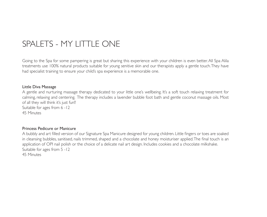# SPALETS - MY LITTLE ONE

Going to the Spa for some pampering is great but sharing this experience with your children is even better. All Spa Alila treatments use 100% natural products suitable for young senitive skin and our therapists apply a gentle touch. They have had specialist training to ensure your child's spa experience is a memorable one.

#### Little Diva Massage

A gentle and nurturing massage therapy dedicated to your little one's wellbeing. It's a soft touch relaxing treatment for calming, relaxing and centering. The therapy includes a lavender bubble foot bath and gentle coconut massage oils. Most of all they will think it's just fun!! Suitable for ages from 6 -12

45 Minutes

#### Princess Pedicure or Manicure

A bubbly and art filled version of our Signature Spa Manicure designed for young children. Little fingers or toes are soaked in cleansing bubbles, sanitised, nails trimmed, shaped and a chocolate and honey moisturiser applied. The final touch is an application of OPI nail polish or the choice of a delicate nail art design. Includes cookies and a chocolate milkshake. Suitable for ages from 5 -12 45 Minutes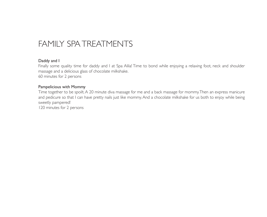# FAMILY SPA TREATMENTS

#### Daddy and I

Finally some quality time for daddy and I at Spa Alila! Time to bond while enjoying a relaxing foot, neck and shoulder massage and a delicious glass of chocolate milkshake.

60 minutes for 2 persons

#### Pampelicious with Mommy

Time together to be spoilt. A 20 minute diva massage for me and a back massage for mommy. Then an express manicure and pedicure so that I can have pretty nails just like mommy. And a chocolate milkshake for us both to enjoy while being sweetly pampered!

120 minutes for 2 persons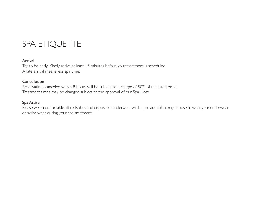# SPA ETIQUETTE

#### Arrival

Try to be early! Kindly arrive at least 15 minutes before your treatment is scheduled. A late arrival means less spa time.

#### **Cancellation**

Reservations canceled within 8 hours will be subject to a charge of 50% of the listed price. Treatment times may be changed subject to the approval of our Spa Host.

#### Spa Attire

Please wear comfortable attire. Robes and disposable underwear will be provided. You may choose to wear your underwear or swim-wear during your spa treatment.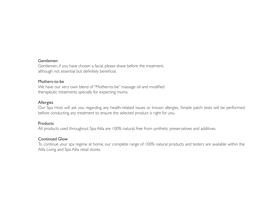#### Gentlemen

Gentlemen, if you have chosen a facial, please shave before the treatment, although not essential but definitely beneficial.

#### Mothers-to-be

We have our very own blend of "Mother-to-be" massage oil and modified therapeutic treatments specially for expecting mums.

#### Allergies

Our Spa Host will ask you regarding any health-related issues or known allergies. Simple patch tests will be performed before conducting any treatment to ensure the selected product is right for you.

#### **Products**

All products used throughout Spa Alila are 100% natural, free from synthetic preservatives and additives.

#### Continued Glow

To continue your spa regime at home, our complete range of 100% natural products and testers are available within the Alila Living and Spa Alila retail stores.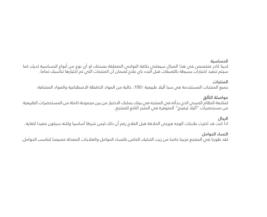### الحساسية

لدينا كادر متخصص في هذا المجال سيعتني بكافة النواحي المتعلقة بصحتك او أي نوع من أنواع الحساسية لديك كما سيتم تنفيذ اختبارات بسيطة باللصقات قبل البدء باي عالج لضمان أن المنتجات التي تم اختيارها تناسبك تماما .

## المنتجات

جميع المنتجات المستخدمة فم سبا أليلا طبيعية ٪100، خالية من المواد الحافظة الاصطناعية والمواد المضافة .

## مواصلة التألق

لمتابعة النظام الصحي الذي بدأته في المنتجه في بيتك يمكنك االختيار من بين مجموعة كاملة من المستحضرات الطبيعية من مستحضرات "أليال ليفينج" المتوفرة في المتجر التابع للمنتجع .

## الرجال

اذا كنت قد اخترت علاجات الوجه فيرجص الحلاقة قبل العلاج رغم أن ذلك ليس شرطا أساسيا ولكنه سيكون مفيدا للغاية .

## النساء الحوامل

لقد طورنا فمي المنتجع مزيجا خاصا من زيت التدليك الخاص بالنساء الحوامل والعلاجات المعدلة خصيصا لتناسب الحوامل .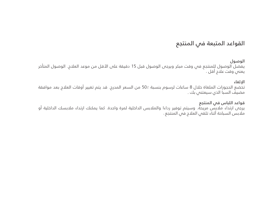# القواعد المتبعة في المنتجع

#### الوصول

يفضل الوصول للمنتجع فى وقت مبكر ويرجى الوصول قبل 15 دقيقة على الأقل من موعد العلاج. الوصول المتأخر يعنب وقت علاج أقل .

#### اإللغاء

تخضع الحجوزات الملغاة خالل 8 ساعات لرسوم بنسبة 50٪ من السعر المدرج. قد يتم تغيير أوقات العالج بعد موافقة مضيف السبا الذي سيعتني بك .

## قواعد اللباس فى المنتجع

يرجى ارتداء مالبس مريحة. وسيتم توفير رداءا والمالبس الداخلية لمرة واحدة. كما يمكنك ارتداء مالبسك الداخلية أو ملابس السباحة أثناء تلقص العلاج فص المنتجع .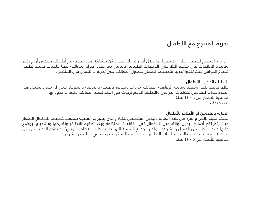# تجربة المنتجع مع األطفال

ان زيارة المنتجع للحصول على االسترخاء والدالل أمر رائع بال شك ولكن مشاركة هذه التجربة مع أطفالك ستكون أروع بكثير وتعتمد العالجات في منتجع أليال على المنتجات الطبيعية بالكامل كما يقدم خبراء المعالجة لدينا جلسات تدليك لطيفة تدغدغ الحواس حيث تلّقوا تدرّيبا متخصصا لضمان حصول أطفالكم على تجربة لا تنسى في المنتجع .

## التدليك الخاص باألطفال

عالج تدليك ناعم ومفيد ومغذي لرفاهية أطفالكم من اجل شعور بالصحة والعافية واسترخاء ليس له مثيل يشمل هذا العالج حماما للقدمين لفقاعات الخزامى والتدليك الناعم بزيوت جوز الهند ليمنح أطفالكم متعة ال حدود لها مناسبة لألعمار من ٦ - ١٢ سنة ٤٥ دقيقة .

### العناية بالقدمين أو الأظافر للأطفال

نسخة مليئة بالفن والمرح من عالج العناية باليدين المخصص للكبار والذي يتميز به المنتجع صممت خصيصا لألطفال الصغار حيث يتم نقع أصابع اليدين أوالقدمين للأطفال فى الفقاعات المنظفة وبعد تعقيم الاظافر وتقليمها وتشذيبها يوضع عليها خليط مرطب من العسل والشوكوال وأخيرا توضع اللمسة النهائية من طالء االظافر "أوبي" أو يمكن االختيار من بين نشكيلة التصاميم الفنية المختارة لطلاء الاظافر. يقدم معه البسكويت ومخفوق الحليب والشوكولا . مناسبة لألعمار من ٥ - ١٢ سنة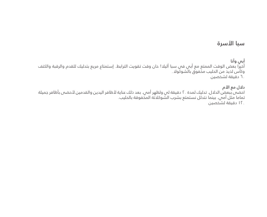# سبا الأسرة

أبي وأنا اخيرا بعض الوقت الممتع مع ابي في سبا اليلا! حان وقت تقويت الترابط. إستمتاع مريع بتدليك للقدم والرقبة والكتف وكأس لذيذ من الحليب مخفوق بالشوكوال۰ 60 دقيقة لشخصين

دالل مع األم احضى ببعض الدالل. تدليك لمدة 20 دقيقة لي ولظهر أمي. بعد ذلك عناية ألظافر اليدين والقدمين ألحضى بأظافر جميلة تماما مثل أمي. بينما نتدلل نستمتع بشرب الشوكالتة المخفوقة بالحليب۰ 120 دقيقة لشخصين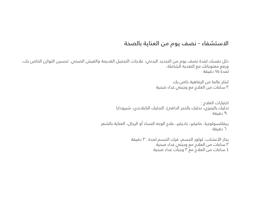# االستشفاء - نصف يوم من العناية بالصحة

دلل نفسك لمدة نصف يوم من التجديد البدني، عالجات التجميل القديمة والعيش الصحي. تحسين التوازن الخاص بك، ورفع معنوياتك مع التغذية الشاملة . لمدة ٧٥ دقيقة

> ابتكر عالما من الرفاهية خاص بك ٣ ساعات من العالج مع وجبتي غداء صحية

اختيارات العالج :تدليك بالينيزي، تدليك بالحجر الدافئ، التدليك التايالندي، شيرودارا ٩٠ دقيقة

ريفلكسولوجيا، مانيكير، باديكير، عالج الوجه النساء أو الرجال، العناية بالشعر ٦٠ دقيقة

> بخار الأعشاب، لولور الجسم، فرك الجسم لمدة ٣. دقيقة ٣ ساعات من العالج مع وجبتي غداء صحية ٤ ساعات من العالج مع ٣ وجبات غداء صحية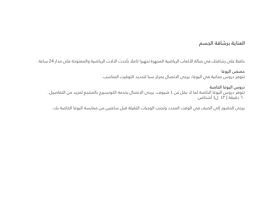## العناية برشاقة الجسم

حافظ على رشاقتك فى صالة الألعاب الرياضية المجهزة تجهيزا كاملا بأحدث الالات الرياضية والمفتوحة على مدار 24 ساعة .

حصص اليوغا

نتوفر دروس مجانية فص اليوغا، يرجص الاتصال بمركز سبا لتحديد التوقيت المناسب ·

دروس اليوغا الخاصة تتوفر دروس اليوغا الخاصة لما لا يقل عن ٤ ضيوف، يرجى الاتصال بخدمة الكونسيرج بالمنتجع لمزيد من التفاصيل. ٦٠ دقيقة | ٤٣ ل٤ أشخاص

يرجص الحضور إلىي الصف فمي الوقت المحدد وتجنب الوجبات الثقيلة قبل ساعتين من ممارسة اليوغا الخاصة بك .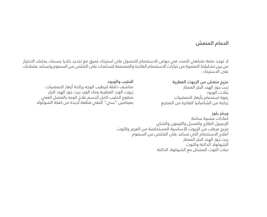## الحمام المنعش

ال توجد متعة تضاهي التمدد في حوض االستحمام للحصول على استرخاء عميق مع تجديد خاليا جسمك يمكنك االختيار من بين تشكيلتنا المتميزة من خيارات االستحمام الفاخرة والمصممة لتساعدك على التخلص من السموم وتساعد عضالتك على االسترخاء .

> مزيج منعش من الزيوت العطرية زيت جوز الهند البكر الممتاز بتالت الورود رغوة استحمام بأزهار الحمضيات زجاجة من الشامبانيا الفاخرة من المنتجع

الحليب والورود مناشف دافئة لترطيب الوجه برائحة أزهار الحمضيات زيوت الورد العطرية وماء الورد زيت جوز الهند البكر منقوع الحليب كامل الدسم عالج الوجه بالمصل الغني بفيتامين "سي" النقي قطعة لذيذة من كعكة الشوكوال

> وينتر بلوز كمادات عشبية ساخنة الزنجبيل الطازج والعسل والليمون والشاي مزيج مرطب من الزيوت األساسية المستخلصة من العرعر والتوت أملاح الاستحمام التبي تساعد على التخلص من السموم زيت جوز الهند البكر الممتاز الشوكوال الداكنة والتوت حبات التوت المشكل مع الشوكوال الداكنة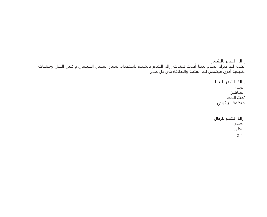إزالة الشعر بالشمع يقدم لك خبراء العالج لدينا أحدث تقنيات إزالة الشعر بالشمع باستخدام شمع العسل الطبيعي واكليل الجبل ومنتجات طبيعية اخرى فيضمن لك المتعة والنظافة فمي كل علاج .

> إزالة الشعر للنساء الوجه الساقين تحت االبط منطقة البيكيني

إزالة الشعر للرجال الصدر البطن الظهر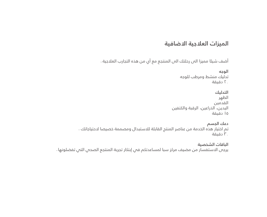# الميزات العالجية االضافية

أضف شيئا مميزا الى رحلتك الى المنتجع مع أي من هذه التجارب العالجية .

الوجه تدليك منشط ومرطب للوجه ٢٠ دقيقة

التدليك الظهر القدمين اليدين، الذراعين، الرقبة والكتفين ١٥ دقيقة

دعك الجسم تم اختيار هذه الخدمة من عناصر المنتج القابلة لالستبدال ومصممة خصيصا الحتياجاتك . ٣٠ دقيقة

الباقات الشخصية يرجص الاستفسار من مضيف مركز سبا لمساعدتكم فمي إبتكار تجربة المنتجع الصحص التص تفضلونها .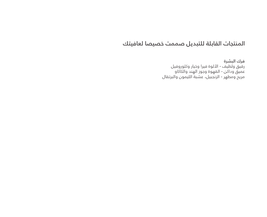# المنتجات القابلة للتبديل صممت خصيصا لعافيتك

فرك البشرة رقيق ولطيف - األلوة فيرا وخيار وكلوروفيل عميق وداكن - القهوة وجوز الهند والكاكاو مريح ومطهر - الزنجبيل، عشبة الليمون والبرتقال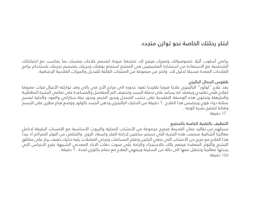# ابتكر رحلتك الخاصة نحو توازن متجدد

يراعي أسلوب أليال خصوصياتك وتميزك فيتيح لك منتجعنا مرونة لتصمم عالجك بنفسك بما يتناسب مع احتياجاتك الشخصية مع االستفادة من استشارة المضيفيين في المنتجع استمتع بوقتك وحريتك بتصميم تجربتك باستخدام برامج العلاجات المعدة مسبقا كدليل لك. واختر من مجموعة من المنتّجات القاّبلة للتبديل والميزات العلاجية الإضافية .

## طقوس الجمال الباليزي

يعد علاج "لولور" البالينيزي علاجا قرويا تقليديا تعود جذوره الى مزارع الأرز فى بالى وقد توارثته الأجيال فبات معروفا كعلاج طبي تقليدي ويعتقد انه يساعد على تدفئة الجسد وتخفيف الم المفاصل والمساعدة على تعافى البشرة المظطربة والمترهلة وتحتوي هذه الوصفة التقليدية على خشب الصندل وبذور الشمر وبذور نبتة ستاراني والعود والحلبة ليصبح بمثابة دواء قوي ويتضمن هذا العالج ٦٠ دقيقة من التدليك البالينيزي ودهن الجسد بالولور ووضع قناع مطري على الجسم وقناعا لتفتيح بشرة الوجه .

١٢٠ دقيقة

### التنظيف بالتقنية الخاصة بالمنتجع

نستلهم من تقاليد عمان القديمة فنمزج مجموعة من الأعشاب المحلية والزيوت الأساسية مع اللمسات الرقيقة ل*ا*نامل معالجنا الشافية صممت هذه التجربة التي تستمر ساعتين الراحة الفكر واسعاد الروح. والتخلص من التوتر المتراكم اذ يبدأ هذا العلاج مع مزيج من الأعشاب التي تنقى الرئتين وتفتح المسامات وترخى العضلات يليه تدليك خفيف يركز على مناطق التشنج والتوتر المعقدة فينعم بالك باالسترخاء والراحة على صوت دقات االناء المعدني الشبيهة بقرع االجراس التي يحدثها معالجنا وتنتقل معها الىٰ حالة من السكينة وينتهى العلاج مع حمام جاكوزي لمدة . ٢ دقيقة . ١٤٥ دقيقة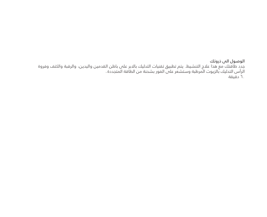### الوصول الى ذروتك

جدد طاقتك مع هذا عالج التنشيط. يتم تطبيق تقنيات التدليك باالبر على باطن القدمين واليدين، والرقبة والكتف وفروة الرأس التدليك بالزيوت المرطبة وستشعر على الفور بشحنة من الطاقة المتجددة .٦٠ دقيقة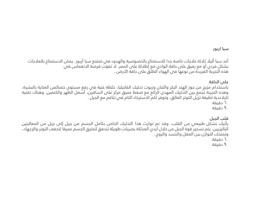### سبا اربور

أعد سبا أليلا ثلاثة علاجات خاصة جدا للاستمتاع بالخصوصية والهدوء فى منتجع سبا أربور. يمكن الاستمتاع بالعلاجات بشكل فردي أو مع رفيق على حافة الوادي مع إطاللة على الممر. ال تفوت فرصة االنغماس في هذه التجربة الفريدة من نوعها فمي الهواء الطلق علم حافة الأرض .

## على الحافة

باستخدام مزيج من جوز الهند البكر واللبان وزيوت تدليك الفانيليا، خلطة غنية في رفع مستوى خصائص العناية بالبشرة، وهذه التجربة تجمع بين التدليك المهدى الرائع مع ضغط عميق مركز على الساقين، أسفل الظهر والكتفين. وهناك تقنية تايالندية لطيفة تزيل التوتر العالق، وتوفر لكم االسترخاء التام في تناغم مع الجبل .

- ٦٠ دقيقة
- ٩٠ دقيقة

## قلب الجبل

يأتيك بشكل طبيعي من القلب، وقد تم توارث هذا التدليك الخاص بكامل الجسم من جيل إلى جيل من المعالجين الباليزيين. يتم تسخير قوة الجبل من خالل أيدي المدلكة بضربات طويلة تتدفق لتخترق الجسم عميقا لتخفف التوتر واإلجهاد، وتمنحك التوازن بين العقل والجسد والروح .

- ٦٠ دقيقة
- ٩٠ دقيقة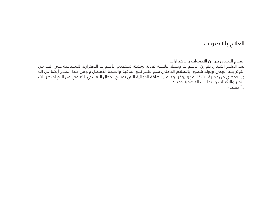# العالج باالصوات

العلاج التبيتى بتوازن الأصوات والاهتزازات

يعد العلاج التّبيتي بتوازن الأصوات وسيلة علاجية فعالة ومثبتة تستخدم الأصوات الاهتزازية للمساعدة على الحد من التوتر بعد الوعي ويولد شعورا بالسالم الداخلي فهو عالج نحو العافية والصحة األفضل وبرهن هذا العالج أيضا عن انه جزء جوهري من عملية الشفاء فهو يوفر نوعا من الطاقة الدوائية التي تفسح المجال النفسي للتعافي من االم اضطرابات التوتر والاكتئاب والتقلبات العاطفية وغيرها . ٦٠ دقيقة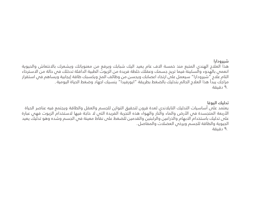#### شيرودارا

هذا العالج الهندي المتبع منذ خمسة االف عام يعيد اليك شبابك ويرفع من معنوياتك ويشعرك باالنتعاش والحيوية انعمي بالهدوء والسكينة فيما تريح جسمك وعقلك خلطة فريدة من الزيوت الطبية الدافئة تدخلك في حالة من االسترخاء التام عالج "شيرودارا" سيعمل على ارتخاء اعصابك ويحسن من وظائف المخ ويكسبك طاقة إيجابية ويساهم في استقرار مزاجك يبدأ هذا العلاج الحالم بتدليك بالضغط بطريقة "ايورفيدا" ينسيك اجهاد وضغط الحياة اليومية . ٩٠ دقيقة

تدليك اليوغا

يعتمد على أساسيات التدليك التايالندي لعدة قرون لتحقيق التوازن للجسم والعقل والطاقة ويجتمع فيه عناصر الحياة الأربعة المتجسدة في الأرض والماء والنار والهواء هذه التجربة الفريدة التي لا حاجة فيها لاستخدام الزيوت فهي عبارة على تدليك باستخدام االبهام والذراعين والركبتين والقدمين للضغط على نقاط معينة في الجسم وشده وهو تدليك يعيد الجيوية والطاقة للجسم ويرخص العضلات والمفاصل.

٩٠ دقيقة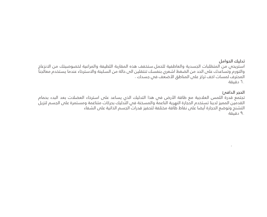### تدليك الحوامل

استريحي من المتطلبات الجسدية والعاطفية للحمل.ستخفف هذه المقاربة اللطيفة والمراعية لخصوصيتك من االنزعاج والتورم وتساعدك على الحد من الضغط اشعري بنفسك تنتقلين الى حالة من السكينة واالسترخاء عندما يستخدم معالجنا المحترف لمسات اخف تركز على المناطق الأضعّف في جسدك . ٦٠ دقيقة

## الحجر الدافئ

.

تجتمع قدرة اللمس العلاجية مع طاقة الأرض فى هذا التدليك الذي يساعد على استرخاء العضلات بعد البدء بحمام القدمين المميز لدينا تستخدم الحجارة النهرية الناعمة والمسخنة في التدليك بحركات متناغمة ومستمرة على الجسم لتزيل التشنج وتوضع الحجارة أيضا على نقاط طاقة مختلفة لتحفيز قدرات الجسم الذاتية على الشفاء . ٩٠ دقيقة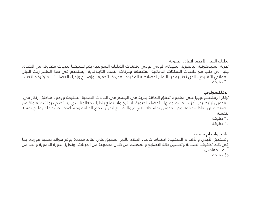### تدليك الجبل األخضر العادة الحيوية

تجربة السيمفونية البالينيزية المهدئة، لومي لومي وتقنيات التدليك السويدية يتم تطبيقها بدرجات متفاوتة من الشدة، جنبا إلى جنب مع عالجات السكتات الدماغية المتدفقة وحركات التمدد التايالندية. يستخدم في هذا العالج زيت اللبان العماني التقليدي، الذي نعتز به عبر الزمان لخصائصه المفيدة العديدة، لتخفيف وإصلاح وإحياء العضلات المتوترة والتعب ٦٠ دقيقة

#### الرفلكسولوجيا

ترتكز الرفلكسولوجيا على مفهوم تدفق الطاقة بحرية فى الجسم فى الحالات الصحية السليمة ووجود مناطق ارتكاز فى القدمين ترتبط بكل أجزاء الجسم ومنها األعضاء الحيوية. استرخ واستمتع بتدليك معالجنا الذي يستخدم درجات متفاوتة من الضغط على نقاط مختلفة من القدمين بواسطة االبهام واالصابع لتحرير تدفق الطاقة ومساعدة الجسد على عالج نفسه بنفسه۰

٣٠ دقيقة

٦٠ دقيقة

## ايادي واقدام سعيدة

وتستحق الأيدي والأقدام المجتهدة اهتماما خاصا. العلاج بالابر المطبق على نقاط محددة يوفر فوائد صحية فورية، بما في ذلك تخفيف الصالبة وتحسين حالة االصابع والمعصم من خالل مجموعة من الحركات، وتعزيز الدورة الدموية والحد من آالم المفاصل۰ ٤٥ دقيقة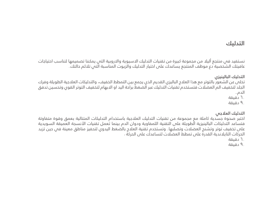# التدليك

نستفيد فم منتجع أليلا من مجموعة كبيرة من تقنيات التدليك الاسيوية والاروبية التم يمكننا تصميمها لتناسب احتياجات عافيتك الشخصية دع موظف المنتجع يساعدك على اختيار التدليك والزيوت المناسبة التي تلائم حالتك

التدليك البالينيزي

تخلى عن الشعور بالتوتر مع هذا العالج الباليزي القديم الذي يجمع بين التمطط الخفيف، والتدليكات العالجية الطويلة وفرك الجلد لتخفيف الم العضالت فتستخدم تقنيات التدليك عبر الضغط براحة اليد او االبهام لتخفيف التوتر القوي وتحسين تدفق الدم .

٦٠ دقيقة

٩٠ دقيقة

التدليك العالجي

اختبر صحوة جسدية كاملة مع مجموعة من تقنيات التدليك العالجية باستخدام التدليكات المتتالية بعمق وقوة متفاوتة فتساعد التدليكات البالينيزية الطويلة على التقنية اللمفاوية ودوان الدم بينما تعمل تقنيات األنسجة العميقة السويدية على تخفيف توتر وتشنج العضالت وتصلبها. وتستخدم تقنية العالج بالضغط اليدوي لتحفيز مناطق معينة في حين تزيد الحركات التايالندية القدرة على تمطط العضالت لتساعدك على الحركة .

٦٠ دقيقة

٩٠ دقيقة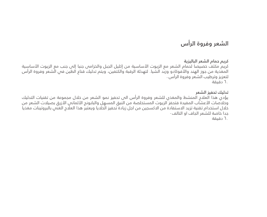# الشعر وفروة الرأس

## كريم حمام الشعر الباليزية

كريم مكثف خصيصا لحمام الشعر مع الزيوت الأساسية من إكليل الجبل والخزامى جنبا إلى جنب مع الزيوت الأساسية المغذية من جوز الهند والأفوكادو وزبد الشيا. لتهدئة الرقبة والكتفين، ويتم تدليك قناع الطين في الشعر وفروة الرأس لتعزيز وترطيب الشعر وفروة الرأس . ٦٠ دقيقة

### تدليك تحفيز الشعر

يؤدي هذا العالج المنشط والمغذي للشعر وفروة الرأس الى تحفيز نمو الشعر من خالل مجموعة من تقنيات التدليك وخلاصات الأعشاب المفيدة فتحفز الزيوت المستخلصة من النبق المسهل والبابونج الألمانس الأزرق بصيلات الشعر من خالل استخدام تقنية تزيد االستفادة من االكسجين من اجل زيادة تحفيز الخاليا ويعتبر هذا العالج الغني بالبروتينات مغذيا جدا خاصة للشعر الجاف او التالف .

٦٠ دقيقة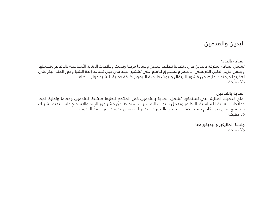# اليدين والقدمين

العناية باليدين

تشمل العناية المترفة باليدين في منتجعنا تنظيفا لليدين وحماما مريحا وتدليكا وعلاجات العناية الأساسية بالاظافر وتجميلها ويعمل مزيج الطين الفرنسس الأصفر ومسحوق لبامبو على تقشير الجلد فى حين تساعد زبدة الشيا وجوز الهند البكر على تغذيتها ويمنحك خليط من قشور البرتقال وزيوت خلاصة الليمون طبقة حماية للبشرة حول الاظافر . ٧٥ دقيقة

### العناية بالقدمين

امنح قدميك العناية التى تستحقها تشمل العناية بالقدمين فى المنتجع تنظيفا منشطا للقدمين وحماما وتدليكا لهما وعالجات العناية األساسية باالظافر وتعمل منتجات التقشير المستخرجة من قشر جوز الهند واالسفنج على تنعيم بشرتك وتقويتها فمي حين تكافح مستخلصات النعناع والليمون البكتيريا وتنعش قدميك المي ابعد الحدود . ٧٥ دقيقة

> جلسة المانيكير والبديكير معا ٧٥ دقيقة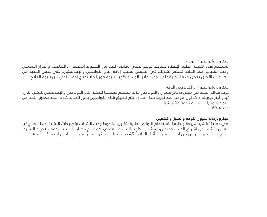#### ميكرودرمابراسيون الوجه

تستخدم هذه التقنية الطبية لإعطاء بشرتك توهج صحص وخاصة للحد من الخطوط الدقيقة، والتجاعيد، وأضرار الشمس وحب الشباب. بعد العلاج تستمر بشرتك في التحسن بسبب زيادة إنتاج الكولاجين والإيلاستين. على عكس العديد من العلاجات الأخرى تعمل هذه التقنية على تجديد خلايا الجلد وتظهر النتيجة فوريا فلا تحتاج لوقت لكي ترى نتيجة العلاج .

### ميكرودرمابراسيون والكوالجين الوجه

جرب فوائد الجمع بين ميكرودرمابراسيون والكوالجين مزيج مصمم خصيصا لتحفيز إنتاج الكوالجين واإليالستين للبشرة لكي تبدو أكثر حيوية، ذات لون موحد. بعد تجربة هذا العالج، يتم تطبيق قناع الكوالجين بابور لتجديد خاليا الجلد بعمق، للحد من التجاعيد وتترك البشرة ناعمة واكثر شبابا . دقيقة 60

#### ميكرودرمابراسيون للوجه والعنق والكتفين

هي عملية تقشير سريعة ولطيفة باستخدام اللوازم الطبية لتقليل الخطوط وحب الشباب وتصبغات البشرة. هذا العالج غير الغازي يكشف عن إشراق الجلد الحقيقي، ويشمل تطهير المسام العميق، هو عالج مضاد للبكتيريا مخفف الجهاد البشرة. ويتم تدليك فروة الرأس من اجل الاسترخاء أثناء العلاج. 45 دقيقة علاج ميكرودرمابراسيون إضافس لمدة 15 دقيقة ·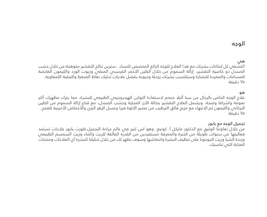# الوجه

### هي

اكتشفي كل إمكانات بشرتك مع هذا العالج للوجه الرائع المخصص للنساء . سترين نتائج التقشير متوهجة من خالل خشب الصندل ذو خاصية التقشير، إزالة السموم من خالل الطين األحمر الفرنسي المنقي وزيوت الورد والليمون القابضة للمسامات والمعيدة للنضارة وستكتسب بشرتك رونقا وحيوية بفضل عالجات تدليك نقاط الضغط والتنقية اللمفاوية . ٧٥ دقيقة

#### هه

عالج الوجه الخاص بالرجال من سبا أليال صمم الستعادة التوازن الهيدروجيني الطبيعي للبشرة، مما يترك مظهرك أكثر نعومة واشراقا وصحة. ويشمل العالج التقشير بنخالة األرز المحلية وخشب الصندل، مع قناع إزالة السموم من الطين البركاني والليمون ثم الانتهاء مع مزيج فائق الترطيب من عصير الألوة فيرا وعسل الزهر البري والأحماض الأمينية للقمح . ٧٥ دقيقة

### تجميل الوجه مع بابور

من خالل تعاوننا الوثيق مع الدكتور مايكل أ. كونيغ، وهو اس كبير في عالم جراحة التجميل.طورت بابور عالجات تستمد فعاليتها من سنوات طويلة من الخبرة والمعرفة مستفيدين من القدرة الفائقة للزيت والماء وزيت السمسم الطبيعي وزبدة الشيا وزيت الجوجوبا على تنظيف البشرة وانتعاشها وسوف نظهر لك من خالل تحليلنا للبشرة أي العالجات ومنتجات العناية التبي تناسبك .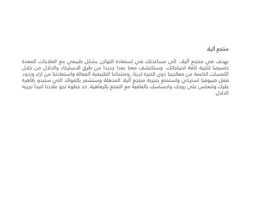# منتجع أليال

نهدف في منتجع أليلا، الى مساعدتك في إستعادة التوازن بشكل طبيعي مع العلاجات المعدة خصيصا لتلبية كافة احتياجاتك. وستكتشف معنا بعدا جديدا من طرق االسترخاء والدالل من خالل اللمسات الناعمة من معالجينا ذوي الخبرة لدينا، ومنتجاتنا الطبيعية الفعالة واستفادتنا من اراء وردود فعل ضيوفنا استرخص واستمتع بتجربة منتجع أليلا المذهلة وستشعر بالفوائد التص ستبدو ظاهرة عليك وتنعكس على روحك واحساسك بالعافية مع التمتع بالرفاهية. خذ خطوة نحو مالذنا لتبدأ تجربة الدالل .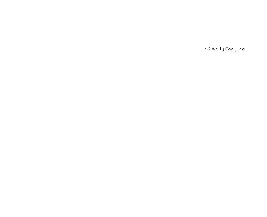مميز ومثير للدهشة